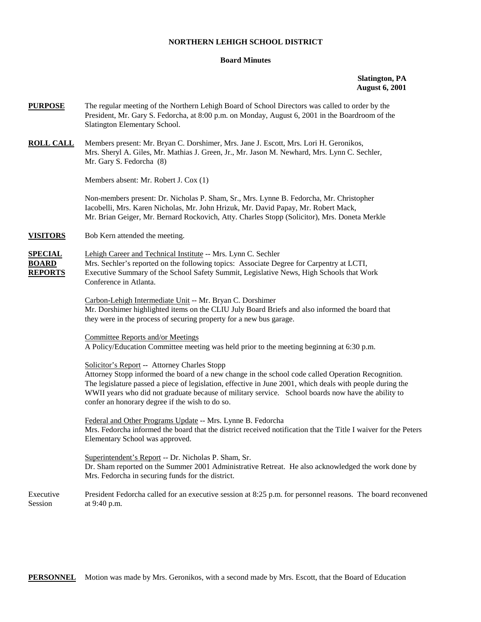## **NORTHERN LEHIGH SCHOOL DISTRICT**

## **Board Minutes**

**Slatington, PA August 6, 2001** 

| <b>PURPOSE</b>                                   | The regular meeting of the Northern Lehigh Board of School Directors was called to order by the<br>President, Mr. Gary S. Fedorcha, at 8:00 p.m. on Monday, August 6, 2001 in the Boardroom of the<br>Slatington Elementary School.                                                                                                                                                                                      |
|--------------------------------------------------|--------------------------------------------------------------------------------------------------------------------------------------------------------------------------------------------------------------------------------------------------------------------------------------------------------------------------------------------------------------------------------------------------------------------------|
| <b>ROLL CALL</b>                                 | Members present: Mr. Bryan C. Dorshimer, Mrs. Jane J. Escott, Mrs. Lori H. Geronikos,<br>Mrs. Sheryl A. Giles, Mr. Mathias J. Green, Jr., Mr. Jason M. Newhard, Mrs. Lynn C. Sechler,<br>Mr. Gary S. Fedorcha (8)                                                                                                                                                                                                        |
|                                                  | Members absent: Mr. Robert J. Cox (1)                                                                                                                                                                                                                                                                                                                                                                                    |
|                                                  | Non-members present: Dr. Nicholas P. Sham, Sr., Mrs. Lynne B. Fedorcha, Mr. Christopher<br>Iacobelli, Mrs. Karen Nicholas, Mr. John Hrizuk, Mr. David Papay, Mr. Robert Mack,<br>Mr. Brian Geiger, Mr. Bernard Rockovich, Atty. Charles Stopp (Solicitor), Mrs. Doneta Merkle                                                                                                                                            |
| <b>VISITORS</b>                                  | Bob Kern attended the meeting.                                                                                                                                                                                                                                                                                                                                                                                           |
| <b>SPECIAL</b><br><b>BOARD</b><br><b>REPORTS</b> | Lehigh Career and Technical Institute -- Mrs. Lynn C. Sechler<br>Mrs. Sechler's reported on the following topics: Associate Degree for Carpentry at LCTI,<br>Executive Summary of the School Safety Summit, Legislative News, High Schools that Work<br>Conference in Atlanta.                                                                                                                                           |
|                                                  | Carbon-Lehigh Intermediate Unit -- Mr. Bryan C. Dorshimer<br>Mr. Dorshimer highlighted items on the CLIU July Board Briefs and also informed the board that<br>they were in the process of securing property for a new bus garage.                                                                                                                                                                                       |
|                                                  | <b>Committee Reports and/or Meetings</b><br>A Policy/Education Committee meeting was held prior to the meeting beginning at 6:30 p.m.                                                                                                                                                                                                                                                                                    |
|                                                  | Solicitor's Report -- Attorney Charles Stopp<br>Attorney Stopp informed the board of a new change in the school code called Operation Recognition.<br>The legislature passed a piece of legislation, effective in June 2001, which deals with people during the<br>WWII years who did not graduate because of military service. School boards now have the ability to<br>confer an honorary degree if the wish to do so. |
|                                                  | Federal and Other Programs Update -- Mrs. Lynne B. Fedorcha<br>Mrs. Fedorcha informed the board that the district received notification that the Title I waiver for the Peters<br>Elementary School was approved.                                                                                                                                                                                                        |
|                                                  | Superintendent's Report -- Dr. Nicholas P. Sham, Sr.<br>Dr. Sham reported on the Summer 2001 Administrative Retreat. He also acknowledged the work done by<br>Mrs. Fedorcha in securing funds for the district.                                                                                                                                                                                                          |
| Executive<br>Session                             | President Fedorcha called for an executive session at 8:25 p.m. for personnel reasons. The board reconvened<br>at 9:40 p.m.                                                                                                                                                                                                                                                                                              |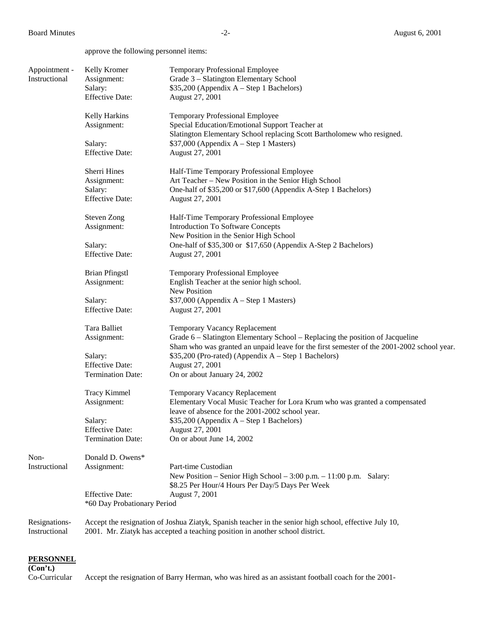approve the following personnel items:

| Appointment -<br>Instructional | Kelly Kromer<br>Assignment:<br>Salary:<br><b>Effective Date:</b> | <b>Temporary Professional Employee</b><br>Grade 3 - Slatington Elementary School<br>$$35,200$ (Appendix A – Step 1 Bachelors)<br>August 27, 2001                                                            |
|--------------------------------|------------------------------------------------------------------|-------------------------------------------------------------------------------------------------------------------------------------------------------------------------------------------------------------|
|                                | Kelly Harkins<br>Assignment:                                     | <b>Temporary Professional Employee</b><br>Special Education/Emotional Support Teacher at<br>Slatington Elementary School replacing Scott Bartholomew who resigned.                                          |
|                                | Salary:<br><b>Effective Date:</b>                                | \$37,000 (Appendix A - Step 1 Masters)<br>August 27, 2001                                                                                                                                                   |
|                                | Sherri Hines                                                     | Half-Time Temporary Professional Employee                                                                                                                                                                   |
|                                | Assignment:<br>Salary:<br><b>Effective Date:</b>                 | Art Teacher - New Position in the Senior High School<br>One-half of \$35,200 or \$17,600 (Appendix A-Step 1 Bachelors)<br>August 27, 2001                                                                   |
|                                | <b>Steven Zong</b><br>Assignment:                                | Half-Time Temporary Professional Employee<br><b>Introduction To Software Concepts</b>                                                                                                                       |
|                                | Salary:<br><b>Effective Date:</b>                                | New Position in the Senior High School<br>One-half of \$35,300 or \$17,650 (Appendix A-Step 2 Bachelors)<br>August 27, 2001                                                                                 |
|                                | <b>Brian Pfingstl</b><br>Assignment:                             | <b>Temporary Professional Employee</b><br>English Teacher at the senior high school.<br>New Position                                                                                                        |
|                                | Salary:<br><b>Effective Date:</b>                                | $$37,000$ (Appendix A – Step 1 Masters)<br>August 27, 2001                                                                                                                                                  |
|                                | Tara Balliet<br>Assignment:                                      | Temporary Vacancy Replacement<br>Grade 6 – Slatington Elementary School – Replacing the position of Jacqueline<br>Sham who was granted an unpaid leave for the first semester of the 2001-2002 school year. |
|                                | Salary:<br><b>Effective Date:</b>                                | \$35,200 (Pro-rated) (Appendix A – Step 1 Bachelors)<br>August 27, 2001                                                                                                                                     |
|                                | <b>Termination Date:</b>                                         | On or about January 24, 2002                                                                                                                                                                                |
|                                | <b>Tracy Kimmel</b><br>Assignment:                               | <b>Temporary Vacancy Replacement</b><br>Elementary Vocal Music Teacher for Lora Krum who was granted a compensated<br>leave of absence for the 2001-2002 school year.                                       |
|                                | Salary:                                                          | $$35,200$ (Appendix A – Step 1 Bachelors)                                                                                                                                                                   |
|                                | <b>Effective Date:</b><br><b>Termination Date:</b>               | August 27, 2001<br>On or about June 14, 2002                                                                                                                                                                |
| Non-                           | Donald D. Owens*                                                 |                                                                                                                                                                                                             |
| Instructional                  | Assignment:                                                      | Part-time Custodian<br>New Position – Senior High School – 3:00 p.m. – 11:00 p.m. Salary:<br>\$8.25 Per Hour/4 Hours Per Day/5 Days Per Week                                                                |
|                                | <b>Effective Date:</b><br>*60 Day Probationary Period            | August 7, 2001                                                                                                                                                                                              |
| Resignations-<br>Instructional |                                                                  | Accept the resignation of Joshua Ziatyk, Spanish teacher in the senior high school, effective July 10,<br>2001. Mr. Ziatyk has accepted a teaching position in another school district.                     |

## **PERSONNEL**

**(Con't.)**

Co-Curricular Accept the resignation of Barry Herman, who was hired as an assistant football coach for the 2001-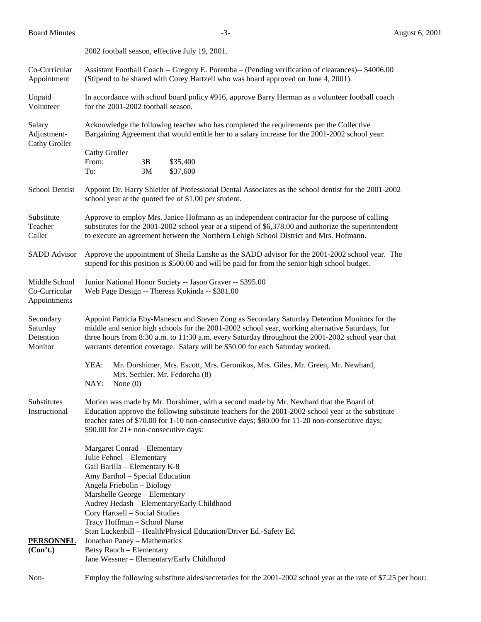|                                                | 2002 football season, effective July 19, 2001.                                                                                                                                                                                                                                                                                                                                                                                                |  |  |
|------------------------------------------------|-----------------------------------------------------------------------------------------------------------------------------------------------------------------------------------------------------------------------------------------------------------------------------------------------------------------------------------------------------------------------------------------------------------------------------------------------|--|--|
| Co-Curricular<br>Appointment                   | Assistant Football Coach -- Gregory E. Poremba - (Pending verification of clearances)-- \$4006.00<br>(Stipend to be shared with Corey Hartzell who was board approved on June 4, 2001).                                                                                                                                                                                                                                                       |  |  |
| Unpaid<br>Volunteer                            | In accordance with school board policy #916, approve Barry Herman as a volunteer football coach<br>for the 2001-2002 football season.                                                                                                                                                                                                                                                                                                         |  |  |
| Salary<br>Adjustment-<br>Cathy Groller         | Acknowledge the following teacher who has completed the requirements per the Collective<br>Bargaining Agreement that would entitle her to a salary increase for the 2001-2002 school year:                                                                                                                                                                                                                                                    |  |  |
|                                                | <b>Cathy Groller</b><br>From:<br>3B<br>\$35,400<br>To:<br>3M<br>\$37,600                                                                                                                                                                                                                                                                                                                                                                      |  |  |
| School Dentist                                 | Appoint Dr. Harry Shleifer of Professional Dental Associates as the school dentist for the 2001-2002<br>school year at the quoted fee of \$1.00 per student.                                                                                                                                                                                                                                                                                  |  |  |
| Substitute<br>Teacher<br>Caller                | Approve to employ Mrs. Janice Hofmann as an independent contractor for the purpose of calling<br>substitutes for the 2001-2002 school year at a stipend of \$6,378.00 and authorize the superintendent<br>to execute an agreement between the Northern Lehigh School District and Mrs. Hofmann.                                                                                                                                               |  |  |
| <b>SADD</b> Advisor                            | Approve the appointment of Sheila Lanshe as the SADD advisor for the 2001-2002 school year. The<br>stipend for this position is \$500.00 and will be paid for from the senior high school budget.                                                                                                                                                                                                                                             |  |  |
| Middle School<br>Co-Curricular<br>Appointments | Junior National Honor Society -- Jason Graver -- \$395.00<br>Web Page Design -- Theresa Kokinda -- \$381.00                                                                                                                                                                                                                                                                                                                                   |  |  |
| Secondary<br>Saturday<br>Detention<br>Monitor  | Appoint Patricia Eby-Manescu and Steven Zong as Secondary Saturday Detention Monitors for the<br>middle and senior high schools for the 2001-2002 school year, working alternative Saturdays, for<br>three hours from 8:30 a.m. to 11:30 a.m. every Saturday throughout the 2001-2002 school year that<br>warrants detention coverage. Salary will be \$50.00 for each Saturday worked.                                                       |  |  |
|                                                | YEA:<br>Mr. Dorshimer, Mrs. Escott, Mrs. Geronikos, Mrs. Giles, Mr. Green, Mr. Newhard,<br>Mrs. Sechler, Mr. Fedorcha (8)<br>NAY:<br>None $(0)$                                                                                                                                                                                                                                                                                               |  |  |
| Substitutes<br>Instructional                   | Motion was made by Mr. Dorshimer, with a second made by Mr. Newhard that the Board of<br>Education approve the following substitute teachers for the 2001-2002 school year at the substitute<br>teacher rates of \$70.00 for 1-10 non-consecutive days; \$80.00 for 11-20 non-consecutive days;<br>\$90.00 for $21+$ non-consecutive days:                                                                                                    |  |  |
| <b>PERSONNEL</b><br>(Con't.)                   | Margaret Conrad - Elementary<br>Julie Fehnel - Elementary<br>Gail Barilla - Elementary K-8<br>Amy Barthol - Special Education<br>Angela Friebolin - Biology<br>Marshelle George - Elementary<br>Audrey Hedash - Elementary/Early Childhood<br>Cory Hartsell - Social Studies<br>Tracy Hoffman - School Nurse<br>Stan Luckenbill - Health/Physical Education/Driver Ed.-Safety Ed.<br>Jonathan Paney - Mathematics<br>Betsy Rauch - Elementary |  |  |
|                                                | Jane Wessner - Elementary/Early Childhood                                                                                                                                                                                                                                                                                                                                                                                                     |  |  |
| Non-                                           | Employ the following substitute aides/secretaries for the 2001-2002 school year at the rate of \$7.25 per hour:                                                                                                                                                                                                                                                                                                                               |  |  |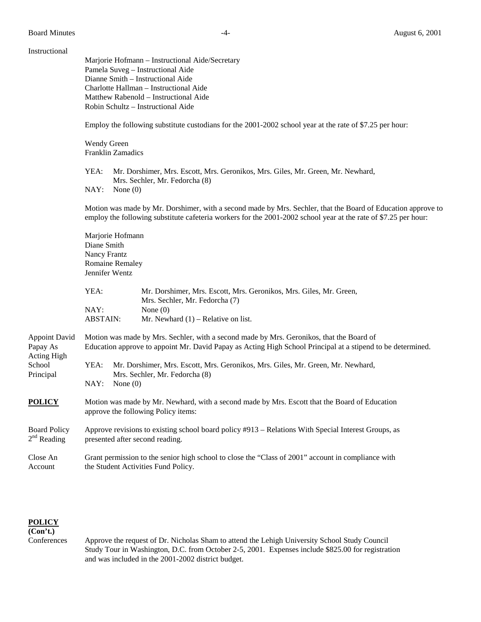## Instructional

Marjorie Hofmann – Instructional Aide/Secretary Pamela Suveg – Instructional Aide Dianne Smith – Instructional Aide Charlotte Hallman – Instructional Aide Matthew Rabenold – Instructional Aide Robin Schultz – Instructional Aide Employ the following substitute custodians for the 2001-2002 school year at the rate of \$7.25 per hour: Wendy Green Franklin Zamadics YEA: Mr. Dorshimer, Mrs. Escott, Mrs. Geronikos, Mrs. Giles, Mr. Green, Mr. Newhard, Mrs. Sechler, Mr. Fedorcha (8) NAY: None (0) Motion was made by Mr. Dorshimer, with a second made by Mrs. Sechler, that the Board of Education approve to employ the following substitute cafeteria workers for the 2001-2002 school year at the rate of \$7.25 per hour: Marjorie Hofmann Diane Smith Nancy Frantz Romaine Remaley Jennifer Wentz YEA: Mr. Dorshimer, Mrs. Escott, Mrs. Geronikos, Mrs. Giles, Mr. Green, Mrs. Sechler, Mr. Fedorcha (7)

| NAY:            | None $(0)$                            |
|-----------------|---------------------------------------|
| <b>ABSTAIN:</b> | Mr. Newhard $(1)$ – Relative on list. |

Appoint David Motion was made by Mrs. Sechler, with a second made by Mrs. Geronikos, that the Board of Papay As Education approve to appoint Mr. David Papay as Acting High School Principal at a stipend to be determined. Acting High School YEA: Mr. Dorshimer, Mrs. Escott, Mrs. Geronikos, Mrs. Giles, Mr. Green, Mr. Newhard, Principal Mrs. Sechler, Mr. Fedorcha (8) NAY: None (0) **POLICY** Motion was made by Mr. Newhard, with a second made by Mrs. Escott that the Board of Education approve the following Policy items:

- Board Policy Approve revisions to existing school board policy #913 Relations With Special Interest Groups, as  $2<sup>nd</sup>$  Reading presented after second reading.
- Close An Grant permission to the senior high school to close the "Class of 2001" account in compliance with Account the Student Activities Fund Policy.

**POLICY**

**(Con't.)** 

Conferences Approve the request of Dr. Nicholas Sham to attend the Lehigh University School Study Council Study Tour in Washington, D.C. from October 2-5, 2001. Expenses include \$825.00 for registration and was included in the 2001-2002 district budget.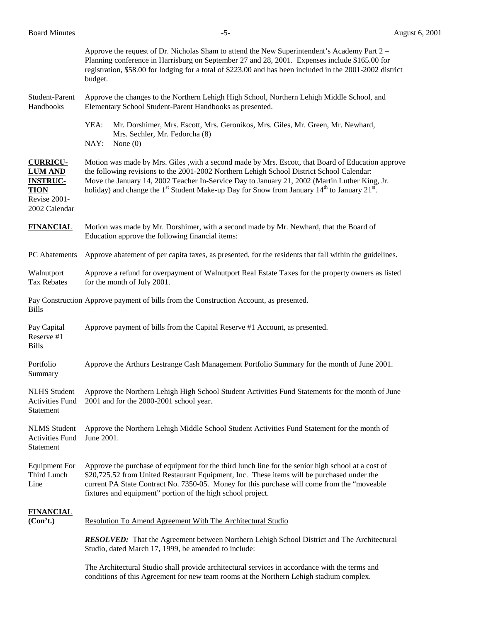|                                                                                                      | <b>RESOLVED:</b> That the Agreement between Northern Lehigh School District and The Architectural<br>Studio, dated March 17, 1999, be amended to include:                                                                                                                                                                                                                                                                            |  |  |
|------------------------------------------------------------------------------------------------------|--------------------------------------------------------------------------------------------------------------------------------------------------------------------------------------------------------------------------------------------------------------------------------------------------------------------------------------------------------------------------------------------------------------------------------------|--|--|
| <b>FINANCIAL</b><br>(Con't.)                                                                         | Resolution To Amend Agreement With The Architectural Studio                                                                                                                                                                                                                                                                                                                                                                          |  |  |
| <b>Equipment For</b><br>Third Lunch<br>Line                                                          | Approve the purchase of equipment for the third lunch line for the senior high school at a cost of<br>\$20,725.52 from United Restaurant Equipment, Inc. These items will be purchased under the<br>current PA State Contract No. 7350-05. Money for this purchase will come from the "moveable<br>fixtures and equipment" portion of the high school project.                                                                       |  |  |
| <b>NLMS</b> Student<br><b>Activities Fund</b><br><b>Statement</b>                                    | Approve the Northern Lehigh Middle School Student Activities Fund Statement for the month of<br>June 2001.                                                                                                                                                                                                                                                                                                                           |  |  |
| <b>NLHS</b> Student<br><b>Activities Fund</b><br>Statement                                           | Approve the Northern Lehigh High School Student Activities Fund Statements for the month of June<br>2001 and for the 2000-2001 school year.                                                                                                                                                                                                                                                                                          |  |  |
| Portfolio<br>Summary                                                                                 | Approve the Arthurs Lestrange Cash Management Portfolio Summary for the month of June 2001.                                                                                                                                                                                                                                                                                                                                          |  |  |
| Pay Capital<br>Reserve #1<br><b>Bills</b>                                                            | Approve payment of bills from the Capital Reserve #1 Account, as presented.                                                                                                                                                                                                                                                                                                                                                          |  |  |
| <b>Bills</b>                                                                                         | Pay Construction Approve payment of bills from the Construction Account, as presented.                                                                                                                                                                                                                                                                                                                                               |  |  |
| Walnutport<br><b>Tax Rebates</b>                                                                     | Approve a refund for overpayment of Walnutport Real Estate Taxes for the property owners as listed<br>for the month of July 2001.                                                                                                                                                                                                                                                                                                    |  |  |
| PC Abatements                                                                                        | Approve abatement of per capita taxes, as presented, for the residents that fall within the guidelines.                                                                                                                                                                                                                                                                                                                              |  |  |
| <b>FINANCIAL</b>                                                                                     | Motion was made by Mr. Dorshimer, with a second made by Mr. Newhard, that the Board of<br>Education approve the following financial items:                                                                                                                                                                                                                                                                                           |  |  |
| <b>CURRICU-</b><br><b>LUM AND</b><br><b>INSTRUC-</b><br><b>TION</b><br>Revise 2001-<br>2002 Calendar | Motion was made by Mrs. Giles , with a second made by Mrs. Escott, that Board of Education approve<br>the following revisions to the 2001-2002 Northern Lehigh School District School Calendar:<br>Move the January 14, 2002 Teacher In-Service Day to January 21, 2002 (Martin Luther King, Jr.<br>holiday) and change the 1 <sup>st</sup> Student Make-up Day for Snow from January 14 <sup>th</sup> to January 21 <sup>st</sup> . |  |  |
|                                                                                                      | YEA:<br>Mr. Dorshimer, Mrs. Escott, Mrs. Geronikos, Mrs. Giles, Mr. Green, Mr. Newhard,<br>Mrs. Sechler, Mr. Fedorcha (8)<br>NAY:<br>None $(0)$                                                                                                                                                                                                                                                                                      |  |  |
| Student-Parent<br>Handbooks                                                                          | Approve the changes to the Northern Lehigh High School, Northern Lehigh Middle School, and<br>Elementary School Student-Parent Handbooks as presented.                                                                                                                                                                                                                                                                               |  |  |
|                                                                                                      | Approve the request of Dr. Nicholas Sham to attend the New Superintendent's Academy Part 2 –<br>Planning conference in Harrisburg on September 27 and 28, 2001. Expenses include \$165.00 for<br>registration, \$58.00 for lodging for a total of \$223.00 and has been included in the 2001-2002 district<br>budget.                                                                                                                |  |  |

The Architectural Studio shall provide architectural services in accordance with the terms and conditions of this Agreement for new team rooms at the Northern Lehigh stadium complex.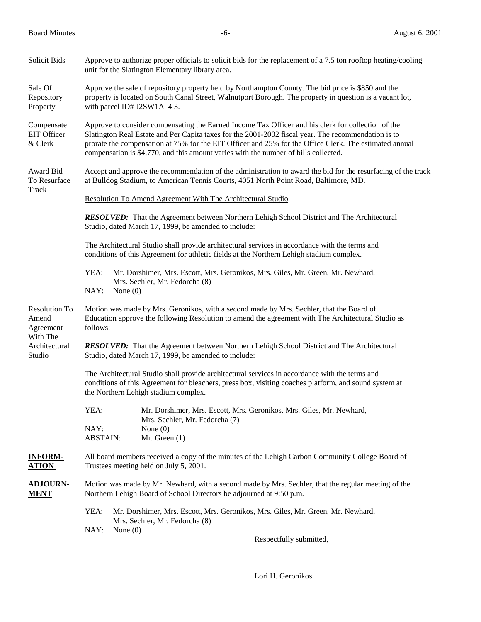| Solicit Bids                               | Approve to authorize proper officials to solicit bids for the replacement of a 7.5 ton rooftop heating/cooling<br>unit for the Slatington Elementary library area.                                                                                                                                                                                                                                         |  |  |
|--------------------------------------------|------------------------------------------------------------------------------------------------------------------------------------------------------------------------------------------------------------------------------------------------------------------------------------------------------------------------------------------------------------------------------------------------------------|--|--|
| Sale Of<br>Repository<br>Property          | Approve the sale of repository property held by Northampton County. The bid price is \$850 and the<br>property is located on South Canal Street, Walnutport Borough. The property in question is a vacant lot,<br>with parcel ID# J2SW1A 43.                                                                                                                                                               |  |  |
| Compensate<br>EIT Officer<br>& Clerk       | Approve to consider compensating the Earned Income Tax Officer and his clerk for collection of the<br>Slatington Real Estate and Per Capita taxes for the 2001-2002 fiscal year. The recommendation is to<br>prorate the compensation at 75% for the EIT Officer and 25% for the Office Clerk. The estimated annual<br>compensation is \$4,770, and this amount varies with the number of bills collected. |  |  |
| Award Bid<br>To Resurface<br>Track         | Accept and approve the recommendation of the administration to award the bid for the resurfacing of the track<br>at Bulldog Stadium, to American Tennis Courts, 4051 North Point Road, Baltimore, MD.                                                                                                                                                                                                      |  |  |
|                                            | Resolution To Amend Agreement With The Architectural Studio                                                                                                                                                                                                                                                                                                                                                |  |  |
|                                            | <b>RESOLVED:</b> That the Agreement between Northern Lehigh School District and The Architectural<br>Studio, dated March 17, 1999, be amended to include:                                                                                                                                                                                                                                                  |  |  |
|                                            | The Architectural Studio shall provide architectural services in accordance with the terms and<br>conditions of this Agreement for athletic fields at the Northern Lehigh stadium complex.                                                                                                                                                                                                                 |  |  |
|                                            | YEA:<br>Mr. Dorshimer, Mrs. Escott, Mrs. Geronikos, Mrs. Giles, Mr. Green, Mr. Newhard,<br>Mrs. Sechler, Mr. Fedorcha (8)<br>NAY:<br>None $(0)$                                                                                                                                                                                                                                                            |  |  |
| <b>Resolution To</b><br>Amend<br>Agreement | Motion was made by Mrs. Geronikos, with a second made by Mrs. Sechler, that the Board of<br>Education approve the following Resolution to amend the agreement with The Architectural Studio as<br>follows:                                                                                                                                                                                                 |  |  |
| With The<br>Architectural<br>Studio        | <b>RESOLVED:</b> That the Agreement between Northern Lehigh School District and The Architectural<br>Studio, dated March 17, 1999, be amended to include:                                                                                                                                                                                                                                                  |  |  |
|                                            | The Architectural Studio shall provide architectural services in accordance with the terms and<br>conditions of this Agreement for bleachers, press box, visiting coaches platform, and sound system at<br>the Northern Lehigh stadium complex.                                                                                                                                                            |  |  |
|                                            | YEA:<br>Mr. Dorshimer, Mrs. Escott, Mrs. Geronikos, Mrs. Giles, Mr. Newhard,<br>Mrs. Sechler, Mr. Fedorcha (7)                                                                                                                                                                                                                                                                                             |  |  |
|                                            | NAY:<br>None $(0)$<br><b>ABSTAIN:</b><br>Mr. Green $(1)$                                                                                                                                                                                                                                                                                                                                                   |  |  |
| <b>INFORM-</b><br><u>ATION</u>             | All board members received a copy of the minutes of the Lehigh Carbon Community College Board of<br>Trustees meeting held on July 5, 2001.                                                                                                                                                                                                                                                                 |  |  |
| <u>ADJOURN-</u><br><u>MENT</u>             | Motion was made by Mr. Newhard, with a second made by Mrs. Sechler, that the regular meeting of the<br>Northern Lehigh Board of School Directors be adjourned at 9:50 p.m.                                                                                                                                                                                                                                 |  |  |
|                                            | YEA:<br>Mr. Dorshimer, Mrs. Escott, Mrs. Geronikos, Mrs. Giles, Mr. Green, Mr. Newhard,<br>Mrs. Sechler, Mr. Fedorcha (8)                                                                                                                                                                                                                                                                                  |  |  |
|                                            | NAY:<br>None $(0)$<br>Respectfully submitted,                                                                                                                                                                                                                                                                                                                                                              |  |  |

Lori H. Geronikos